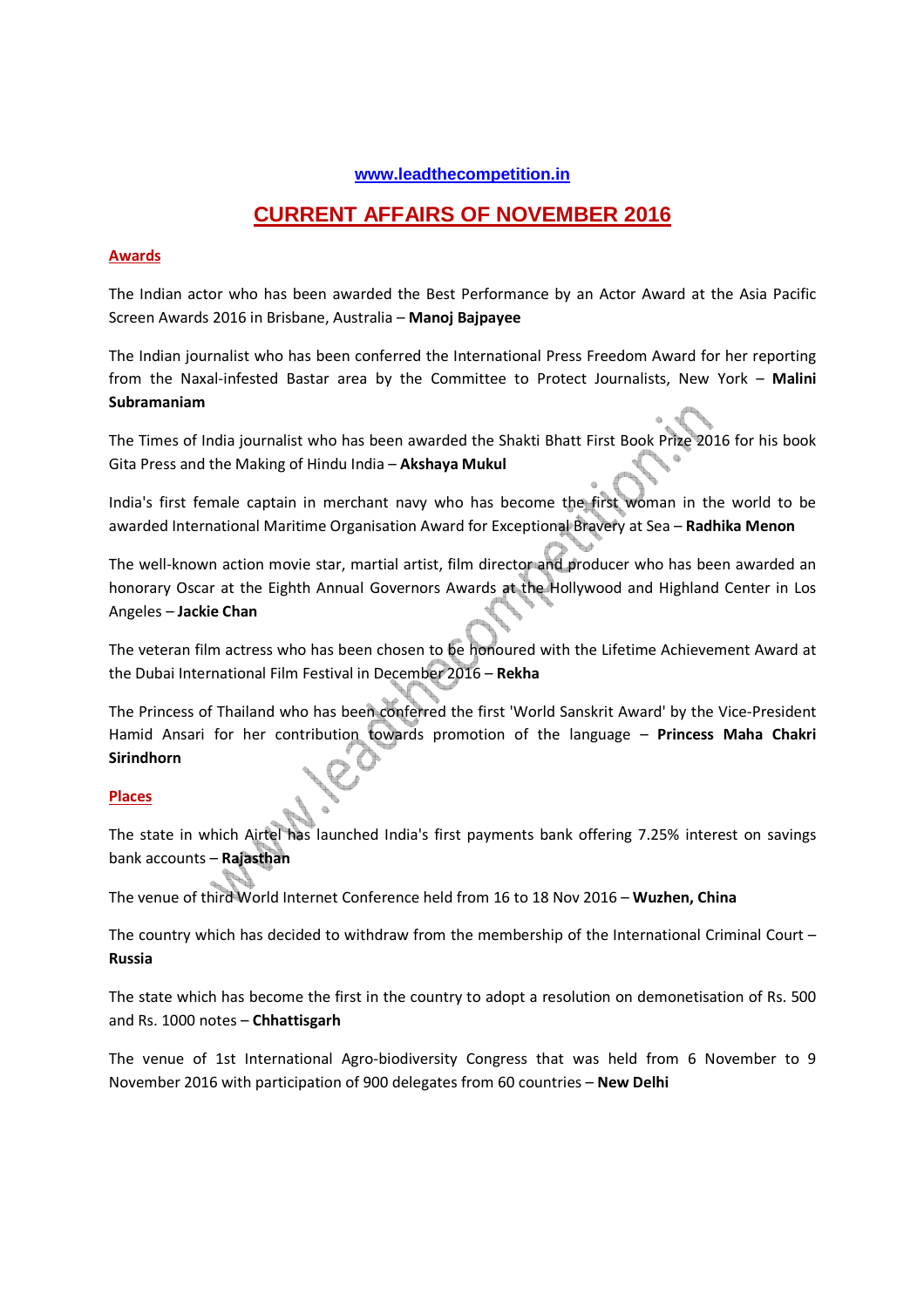#### **www.leadthecompetition.in**

# **CURRENT AFFAIRS OF NOVEMBER 2016**

#### **Awards**

The Indian actor who has been awarded the Best Performance by an Actor Award at the Asia Pacific Screen Awards 2016 in Brisbane, Australia – **Manoj Bajpayee** 

The Indian journalist who has been conferred the International Press Freedom Award for her reporting from the Naxal-infested Bastar area by the Committee to Protect Journalists, New York – **Malini Subramaniam**

The Times of India journalist who has been awarded the Shakti Bhatt First Book Prize 2016 for his book Gita Press and the Making of Hindu India – **Akshaya Mukul**

India's first female captain in merchant navy who has become the first woman in the world to be awarded International Maritime Organisation Award for Exceptional Bravery at Sea – **Radhika Menon**

The well-known action movie star, martial artist, film director and producer who has been awarded an honorary Oscar at the Eighth Annual Governors Awards at the Hollywood and Highland Center in Los Angeles – **Jackie Chan** 

The veteran film actress who has been chosen to be honoured with the Lifetime Achievement Award at the Dubai International Film Festival in December 2016 – **Rekha**

The Princess of Thailand who has been conferred the first 'World Sanskrit Award' by the Vice-President Hamid Ansari for her contribution towards promotion of the language – **Princess Maha Chakri Sirindhorn**

#### **Places**

The state in which Airtel has launched India's first payments bank offering 7.25% interest on savings bank accounts – **Rajasthan**

The venue of third World Internet Conference held from 16 to 18 Nov 2016 – **Wuzhen, China**

The country which has decided to withdraw from the membership of the International Criminal Court – **Russia**

The state which has become the first in the country to adopt a resolution on demonetisation of Rs. 500 and Rs. 1000 notes – **Chhattisgarh**

The venue of 1st International Agro-biodiversity Congress that was held from 6 November to 9 November 2016 with participation of 900 delegates from 60 countries – **New Delhi**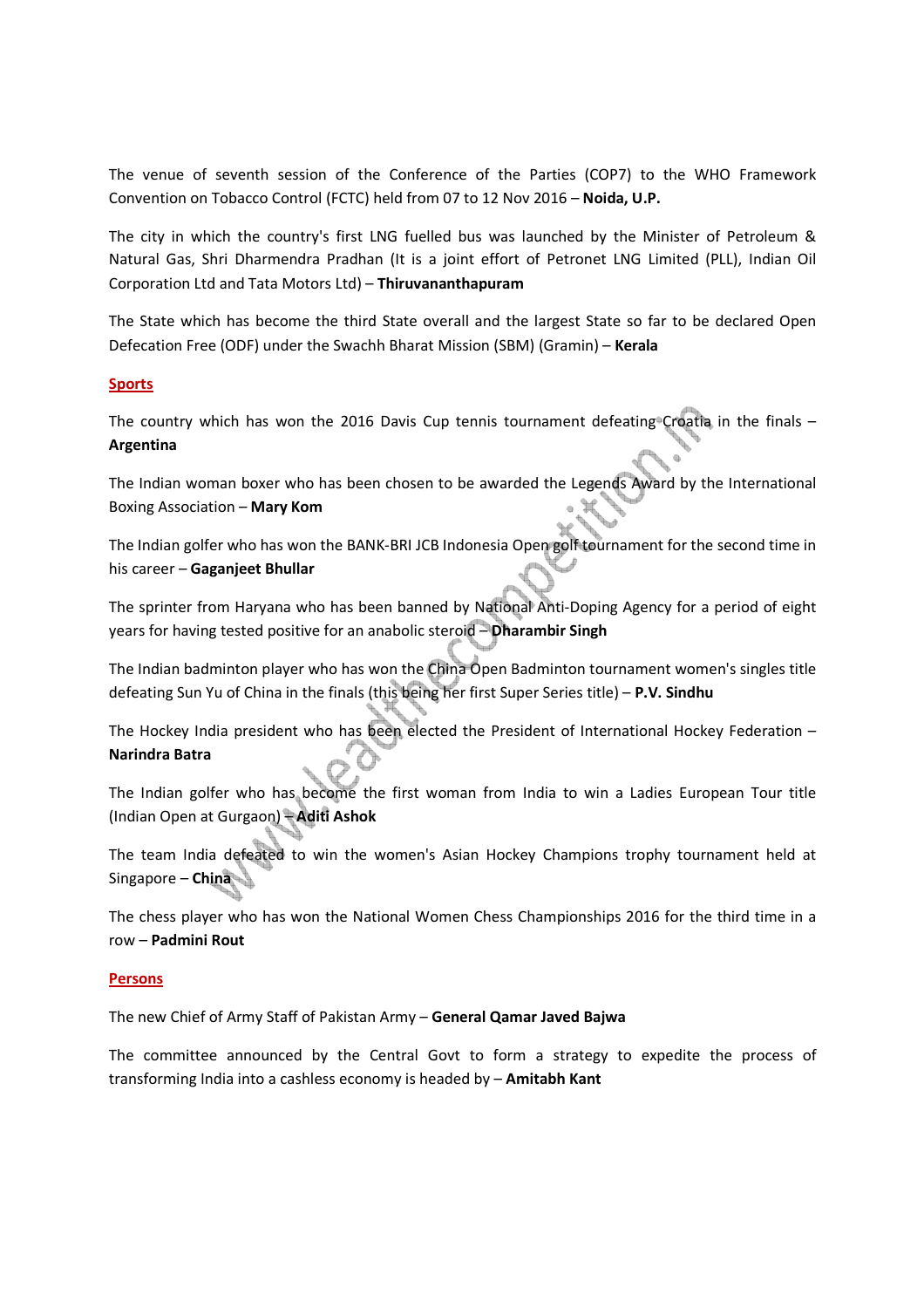The venue of seventh session of the Conference of the Parties (COP7) to the WHO Framework Convention on Tobacco Control (FCTC) held from 07 to 12 Nov 2016 – **Noida, U.P.** 

The city in which the country's first LNG fuelled bus was launched by the Minister of Petroleum & Natural Gas, Shri Dharmendra Pradhan (It is a joint effort of Petronet LNG Limited (PLL), Indian Oil Corporation Ltd and Tata Motors Ltd) – **Thiruvananthapuram**

The State which has become the third State overall and the largest State so far to be declared Open Defecation Free (ODF) under the Swachh Bharat Mission (SBM) (Gramin) – **Kerala**

#### **Sports**

The country which has won the 2016 Davis Cup tennis tournament defeating Croatia in the finals  $-$ **Argentina**

The Indian woman boxer who has been chosen to be awarded the Legends Award by the International Boxing Association – **Mary Kom**

The Indian golfer who has won the BANK-BRI JCB Indonesia Open golf tournament for the second time in his career – **Gaganjeet Bhullar**

The sprinter from Haryana who has been banned by National Anti-Doping Agency for a period of eight years for having tested positive for an anabolic steroid – **Dharambir Singh** 

The Indian badminton player who has won the China Open Badminton tournament women's singles title defeating Sun Yu of China in the finals (this being her first Super Series title) – **P.V. Sindhu**

The Hockey India president who has been elected the President of International Hockey Federation – **Narindra Batra**

The Indian golfer who has become the first woman from India to win a Ladies European Tour title (Indian Open at Gurgaon) – **Aditi Ashok**

The team India defeated to win the women's Asian Hockey Champions trophy tournament held at Singapore – **China** 

The chess player who has won the National Women Chess Championships 2016 for the third time in a row – **Padmini Rout**

#### **Persons**

The new Chief of Army Staff of Pakistan Army – **General Qamar Javed Bajwa**

The committee announced by the Central Govt to form a strategy to expedite the process of transforming India into a cashless economy is headed by – **Amitabh Kant**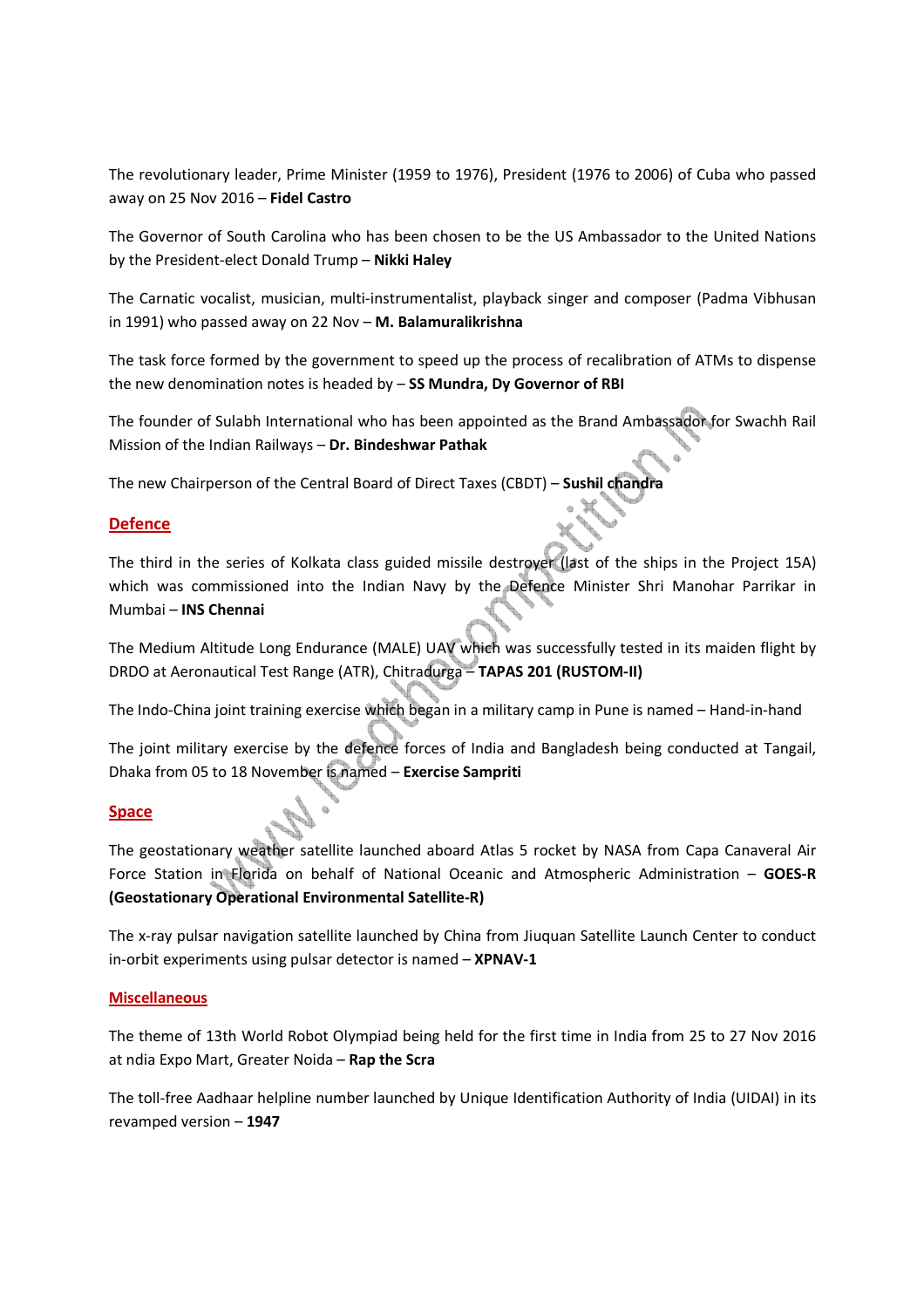The revolutionary leader, Prime Minister (1959 to 1976), President (1976 to 2006) of Cuba who passed away on 25 Nov 2016 – **Fidel Castro**

The Governor of South Carolina who has been chosen to be the US Ambassador to the United Nations by the President-elect Donald Trump – **Nikki Haley**

The Carnatic vocalist, musician, multi-instrumentalist, playback singer and composer (Padma Vibhusan in 1991) who passed away on 22 Nov – **M. Balamuralikrishna**

The task force formed by the government to speed up the process of recalibration of ATMs to dispense the new denomination notes is headed by – **SS Mundra, Dy Governor of RBI**

The founder of Sulabh International who has been appointed as the Brand Ambassador for Swachh Rail Mission of the Indian Railways – **Dr. Bindeshwar Pathak**

The new Chairperson of the Central Board of Direct Taxes (CBDT) – **Sushil chandra**

#### **Defence**

The third in the series of Kolkata class guided missile destroyer (last of the ships in the Project 15A) which was commissioned into the Indian Navy by the Defence Minister Shri Manohar Parrikar in Mumbai – **INS Chennai**

The Medium Altitude Long Endurance (MALE) UAV which was successfully tested in its maiden flight by DRDO at Aeronautical Test Range (ATR), Chitradurga – **TAPAS 201 (RUSTOM-II)**

The Indo-China joint training exercise which began in a military camp in Pune is named – Hand-in-hand

The joint military exercise by the defence forces of India and Bangladesh being conducted at Tangail, Dhaka from 05 to 18 November is named – **Exercise Sampriti**

#### **Space**

The geostationary weather satellite launched aboard Atlas 5 rocket by NASA from Capa Canaveral Air Force Station in Florida on behalf of National Oceanic and Atmospheric Administration – **GOES-R (Geostationary Operational Environmental Satellite-R)**

The x-ray pulsar navigation satellite launched by China from Jiuquan Satellite Launch Center to conduct in-orbit experiments using pulsar detector is named – **XPNAV-1** 

#### **Miscellaneous**

The theme of 13th World Robot Olympiad being held for the first time in India from 25 to 27 Nov 2016 at ndia Expo Mart, Greater Noida – **Rap the Scra** 

The toll-free Aadhaar helpline number launched by Unique Identification Authority of India (UIDAI) in its revamped version – **1947**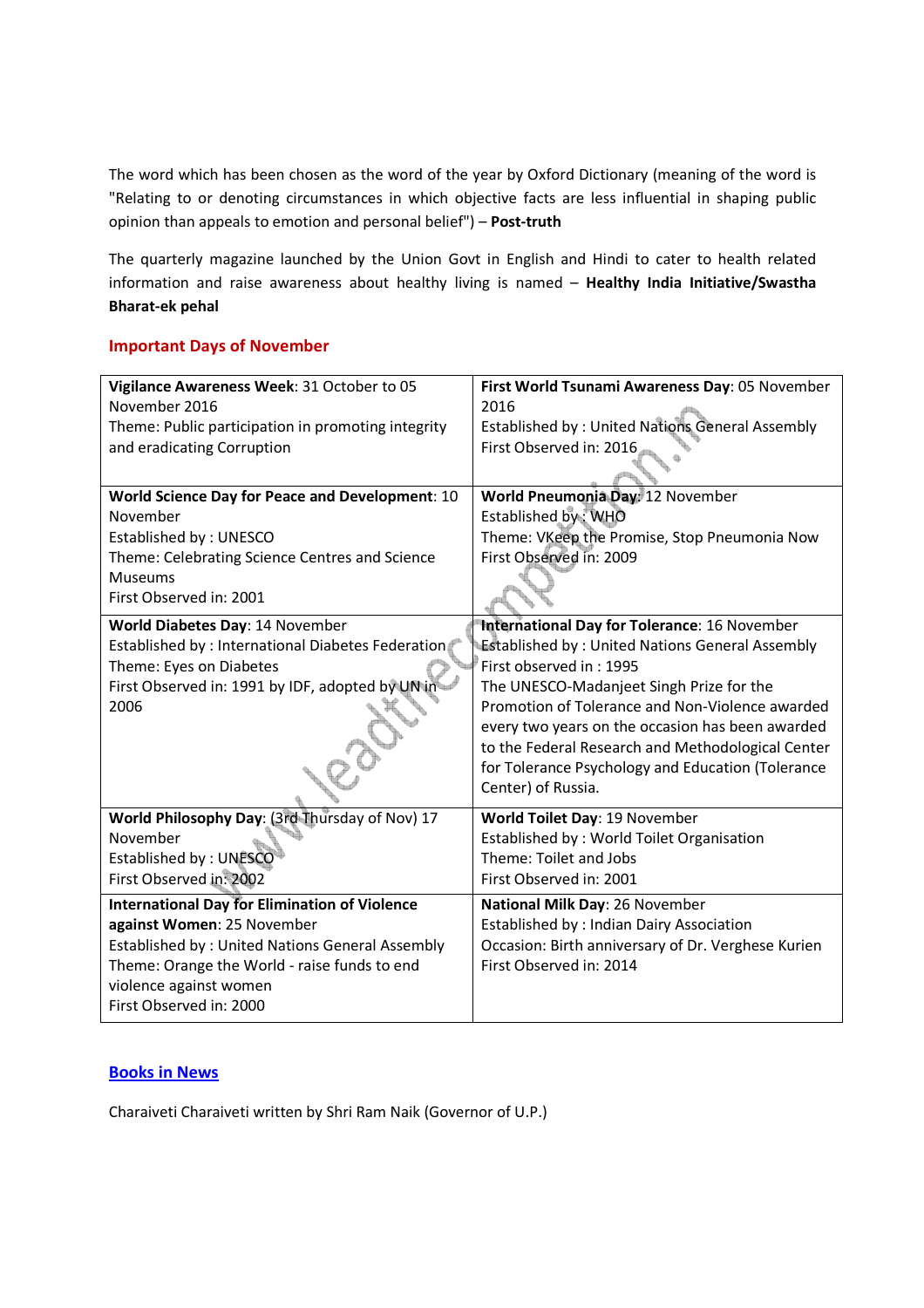The word which has been chosen as the word of the year by Oxford Dictionary (meaning of the word is "Relating to or denoting circumstances in which objective facts are less influential in shaping public opinion than appeals to emotion and personal belief") – **Post-truth**

The quarterly magazine launched by the Union Govt in English and Hindi to cater to health related information and raise awareness about healthy living is named – **Healthy India Initiative/Swastha Bharat-ek pehal**

### **Important Days of November**

| Vigilance Awareness Week: 31 October to 05             | First World Tsunami Awareness Day: 05 November         |
|--------------------------------------------------------|--------------------------------------------------------|
| November 2016                                          | 2016                                                   |
| Theme: Public participation in promoting integrity     | Established by: United Nations General Assembly        |
| and eradicating Corruption                             | First Observed in: 2016                                |
|                                                        |                                                        |
| World Science Day for Peace and Development: 10        | World Pneumonia Day: 12 November                       |
| November                                               | Established by: WHO                                    |
| Established by: UNESCO                                 | Theme: VKeep the Promise, Stop Pneumonia Now           |
| Theme: Celebrating Science Centres and Science         | First Observed in: 2009                                |
| <b>Museums</b>                                         |                                                        |
| First Observed in: 2001                                |                                                        |
| World Diabetes Day: 14 November                        | International Day for Tolerance: 16 November           |
| Established by : International Diabetes Federation     | <b>Established by: United Nations General Assembly</b> |
| Theme: Eyes on Diabetes                                | First observed in: 1995                                |
| First Observed in: 1991 by IDF, adopted by UN in       | The UNESCO-Madanjeet Singh Prize for the               |
| 2006                                                   | Promotion of Tolerance and Non-Violence awarded        |
|                                                        | every two years on the occasion has been awarded       |
|                                                        | to the Federal Research and Methodological Center      |
|                                                        | for Tolerance Psychology and Education (Tolerance      |
|                                                        | Center) of Russia.                                     |
| World Philosophy Day: (3rd Thursday of Nov) 17         | World Toilet Day: 19 November                          |
| November                                               | Established by: World Toilet Organisation              |
| Established by: UNESCO                                 | Theme: Toilet and Jobs                                 |
| First Observed in: 2002                                | First Observed in: 2001                                |
| <b>International Day for Elimination of Violence</b>   | National Milk Day: 26 November                         |
| against Women: 25 November                             | Established by : Indian Dairy Association              |
| <b>Established by: United Nations General Assembly</b> | Occasion: Birth anniversary of Dr. Verghese Kurien     |
| Theme: Orange the World - raise funds to end           | First Observed in: 2014                                |
| violence against women                                 |                                                        |
| First Observed in: 2000                                |                                                        |

# **Books in News**

Charaiveti Charaiveti written by Shri Ram Naik (Governor of U.P.)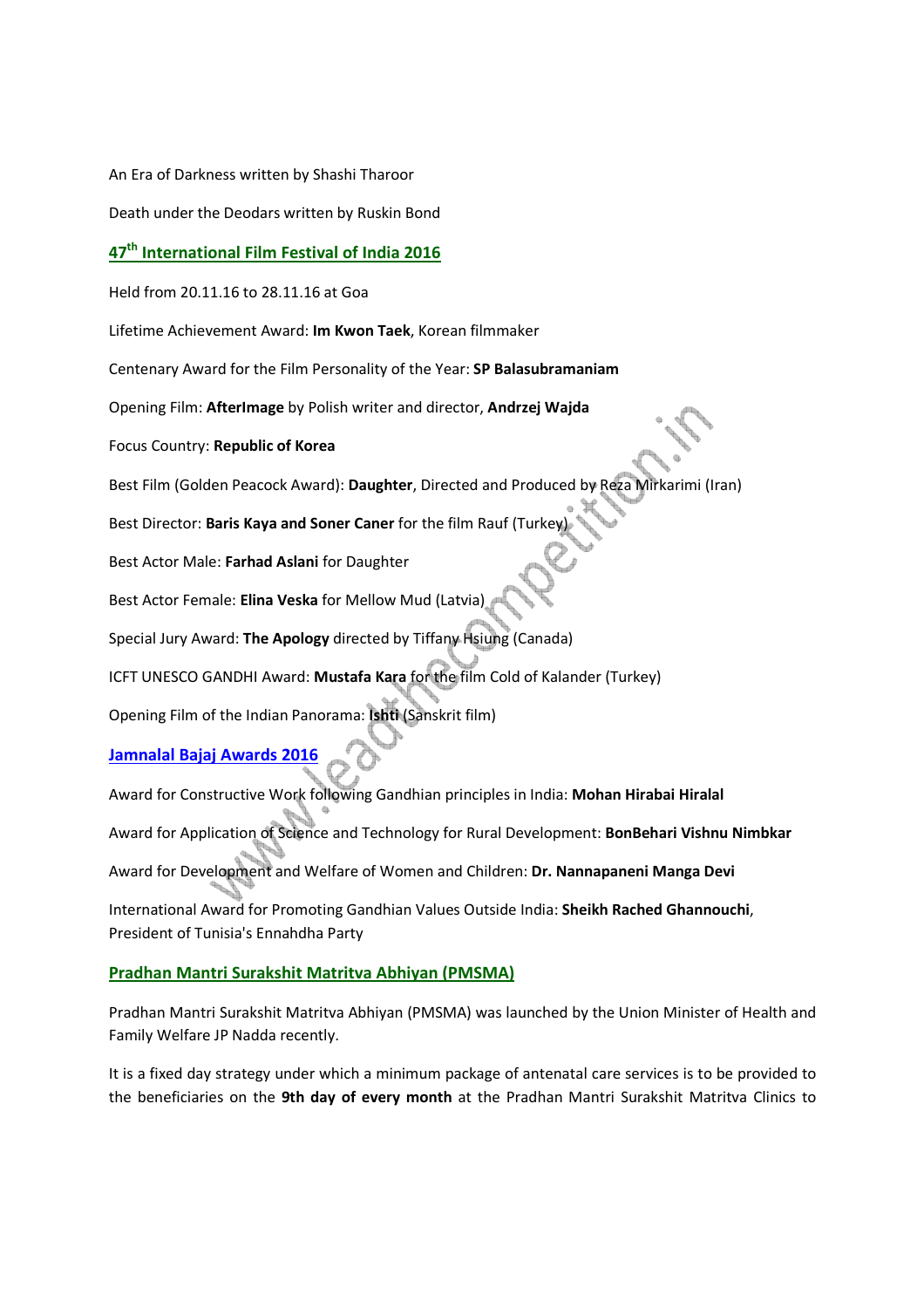An Era of Darkness written by Shashi Tharoor

Death under the Deodars written by Ruskin Bond

# **47th International Film Festival of India 2016**

Held from 20.11.16 to 28.11.16 at Goa

Lifetime Achievement Award: **Im Kwon Taek**, Korean filmmaker

Centenary Award for the Film Personality of the Year: **SP Balasubramaniam**

Opening Film: **AfterImage** by Polish writer and director, **Andrzej Wajda**

Focus Country: **Republic of Korea**

Best Film (Golden Peacock Award): **Daughter**, Directed and Produced by Reza Mirkarimi (Iran)

Best Director: **Baris Kaya and Soner Caner** for the film Rauf (Turkey)

Best Actor Male: **Farhad Aslani** for Daughter

Best Actor Female: **Elina Veska** for Mellow Mud (Latvia)

Special Jury Award: **The Apology** directed by Tiffany Hsiung (Canada)

ICFT UNESCO GANDHI Award: **Mustafa Kara** for the film Cold of Kalander (Turkey)

Opening Film of the Indian Panorama: **Ishti** (Sanskrit film)

### **Jamnalal Bajaj Awards 2016**

Award for Constructive Work following Gandhian principles in India: **Mohan Hirabai Hiralal** Award for Application of Science and Technology for Rural Development: **BonBehari Vishnu Nimbkar** Award for Development and Welfare of Women and Children: **Dr. Nannapaneni Manga Devi** International Award for Promoting Gandhian Values Outside India: **Sheikh Rached Ghannouchi**, President of Tunisia's Ennahdha Party

#### **Pradhan Mantri Surakshit Matritva Abhiyan (PMSMA)**

Pradhan Mantri Surakshit Matritva Abhiyan (PMSMA) was launched by the Union Minister of Health and Family Welfare JP Nadda recently.

It is a fixed day strategy under which a minimum package of antenatal care services is to be provided to the beneficiaries on the **9th day of every month** at the Pradhan Mantri Surakshit Matritva Clinics to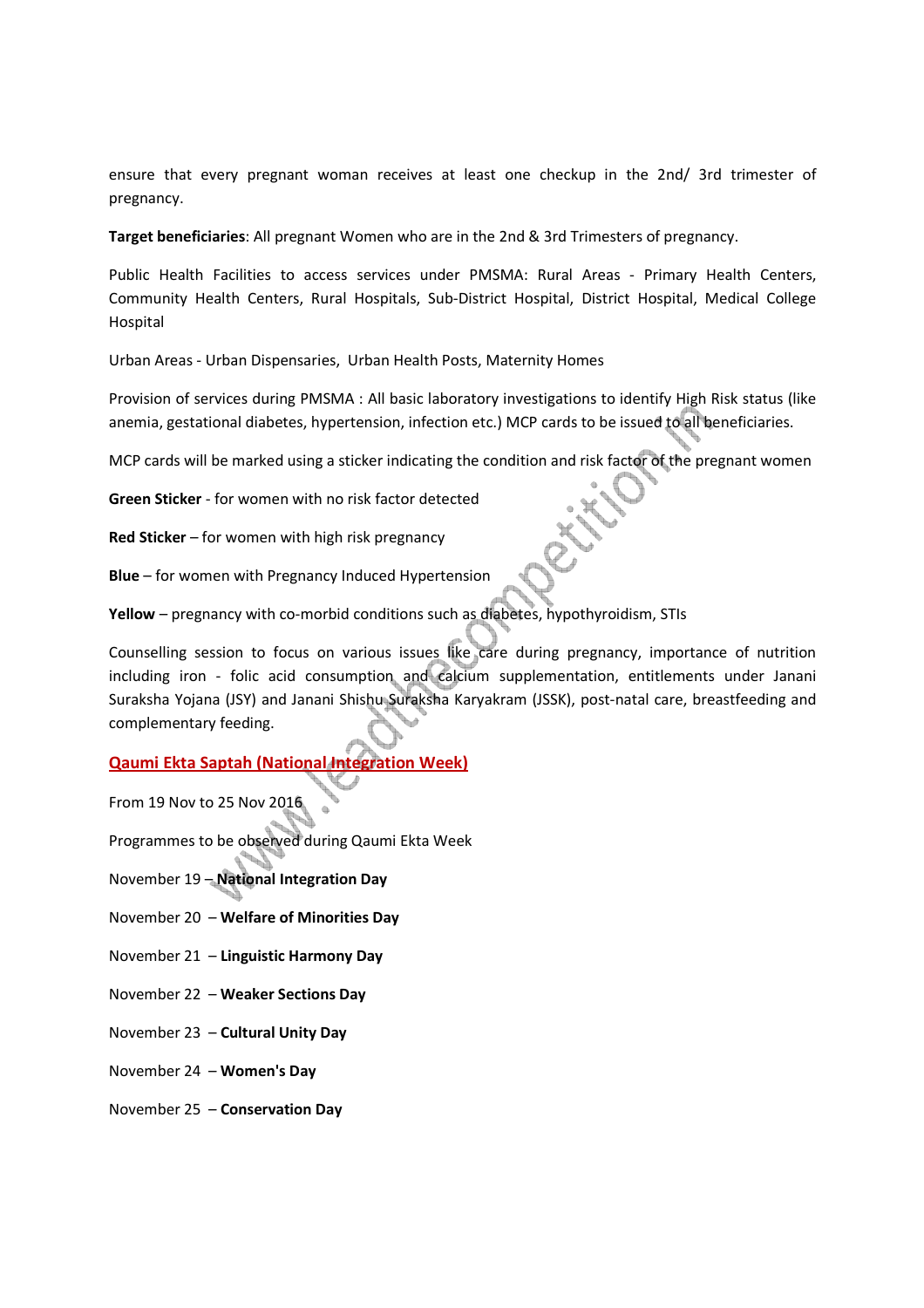ensure that every pregnant woman receives at least one checkup in the 2nd/ 3rd trimester of pregnancy.

**Target beneficiaries**: All pregnant Women who are in the 2nd & 3rd Trimesters of pregnancy.

Public Health Facilities to access services under PMSMA: Rural Areas - Primary Health Centers, Community Health Centers, Rural Hospitals, Sub-District Hospital, District Hospital, Medical College Hospital

Urban Areas - Urban Dispensaries, Urban Health Posts, Maternity Homes

Provision of services during PMSMA : All basic laboratory investigations to identify High Risk status (like anemia, gestational diabetes, hypertension, infection etc.) MCP cards to be issued to all beneficiaries.

MCP cards will be marked using a sticker indicating the condition and risk factor of the pregnant women

**Green Sticker** - for women with no risk factor detected

**Red Sticker** – for women with high risk pregnancy

**Blue** – for women with Pregnancy Induced Hypertension

**Yellow** – pregnancy with co-morbid conditions such as diabetes, hypothyroidism, STIs

Counselling session to focus on various issues like care during pregnancy, importance of nutrition including iron - folic acid consumption and calcium supplementation, entitlements under Janani Suraksha Yojana (JSY) and Janani Shishu Suraksha Karyakram (JSSK), post-natal care, breastfeeding and complementary feeding.

# **Qaumi Ekta Saptah (National Integration Week)**

From 19 Nov to 25 Nov 2016

Programmes to be observed during Qaumi Ekta Week

November 19 – **National Integration Day**

- November 20 **Welfare of Minorities Day**
- November 21 **Linguistic Harmony Day**
- November 22 **Weaker Sections Day**
- November 23 **Cultural Unity Day**
- November 24 **Women's Day**
- November 25 **Conservation Day**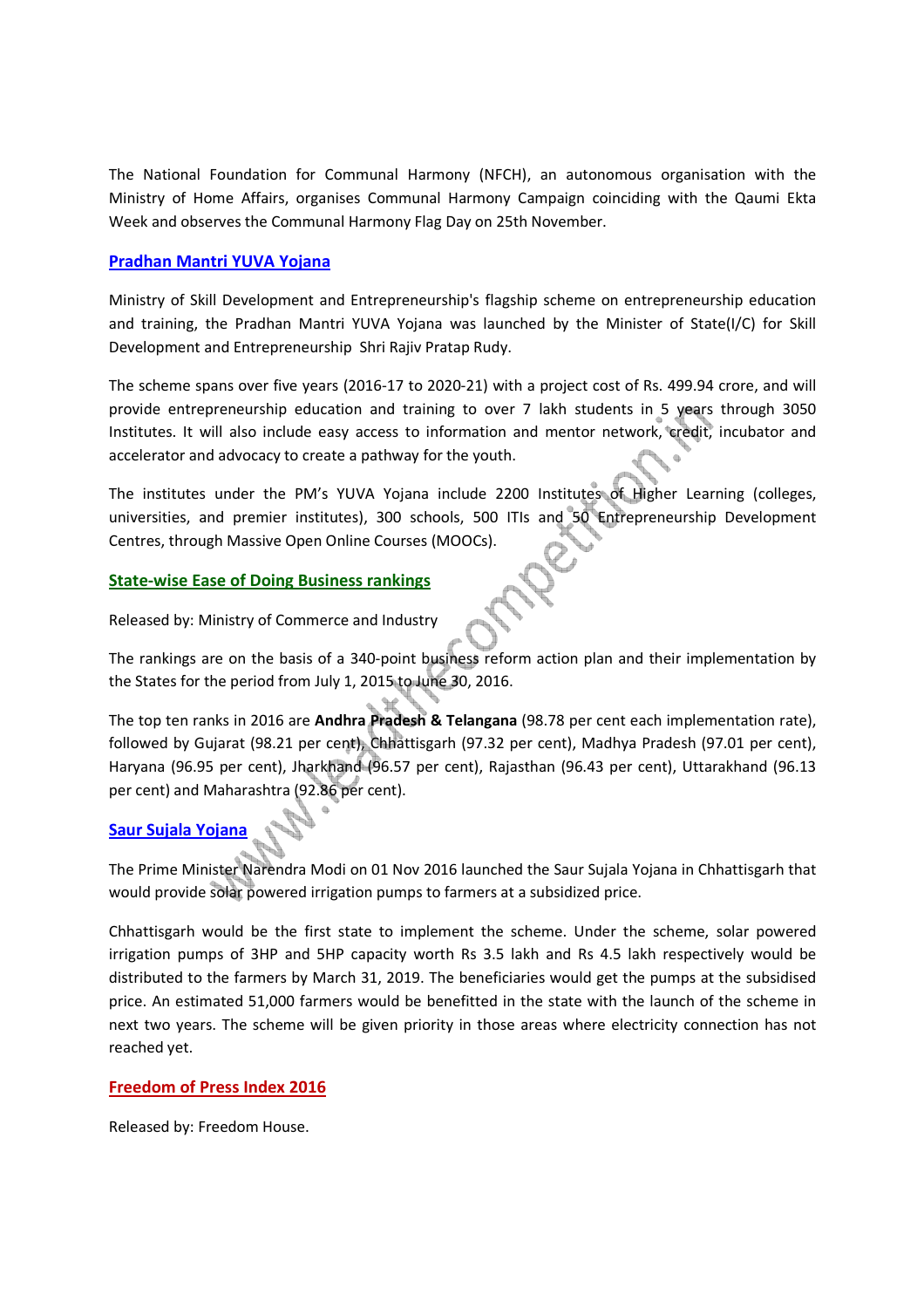The National Foundation for Communal Harmony (NFCH), an autonomous organisation with the Ministry of Home Affairs, organises Communal Harmony Campaign coinciding with the Qaumi Ekta Week and observes the Communal Harmony Flag Day on 25th November.

#### **Pradhan Mantri YUVA Yojana**

Ministry of Skill Development and Entrepreneurship's flagship scheme on entrepreneurship education and training, the Pradhan Mantri YUVA Yojana was launched by the Minister of State(I/C) for Skill Development and Entrepreneurship Shri Rajiv Pratap Rudy.

The scheme spans over five years (2016-17 to 2020-21) with a project cost of Rs. 499.94 crore, and will provide entrepreneurship education and training to over 7 lakh students in 5 years through 3050 Institutes. It will also include easy access to information and mentor network, credit, incubator and accelerator and advocacy to create a pathway for the youth.

The institutes under the PM's YUVA Yojana include 2200 Institutes of Higher Learning (colleges, universities, and premier institutes), 300 schools, 500 ITIs and 50 Entrepreneurship Development Centres, through Massive Open Online Courses (MOOCs).

### **State-wise Ease of Doing Business rankings**

Released by: Ministry of Commerce and Industry

The rankings are on the basis of a 340-point business reform action plan and their implementation by the States for the period from July 1, 2015 to June 30, 2016.

The top ten ranks in 2016 are **Andhra Pradesh & Telangana** (98.78 per cent each implementation rate), followed by Gujarat (98.21 per cent), Chhattisgarh (97.32 per cent), Madhya Pradesh (97.01 per cent), Haryana (96.95 per cent), Jharkhand (96.57 per cent), Rajasthan (96.43 per cent), Uttarakhand (96.13 per cent) and Maharashtra (92.86 per cent).

# **Saur Sujala Yojana**

The Prime Minister Narendra Modi on 01 Nov 2016 launched the Saur Sujala Yojana in Chhattisgarh that would provide solar powered irrigation pumps to farmers at a subsidized price.

Chhattisgarh would be the first state to implement the scheme. Under the scheme, solar powered irrigation pumps of 3HP and 5HP capacity worth Rs 3.5 lakh and Rs 4.5 lakh respectively would be distributed to the farmers by March 31, 2019. The beneficiaries would get the pumps at the subsidised price. An estimated 51,000 farmers would be benefitted in the state with the launch of the scheme in next two years. The scheme will be given priority in those areas where electricity connection has not reached yet.

#### **Freedom of Press Index 2016**

Released by: Freedom House.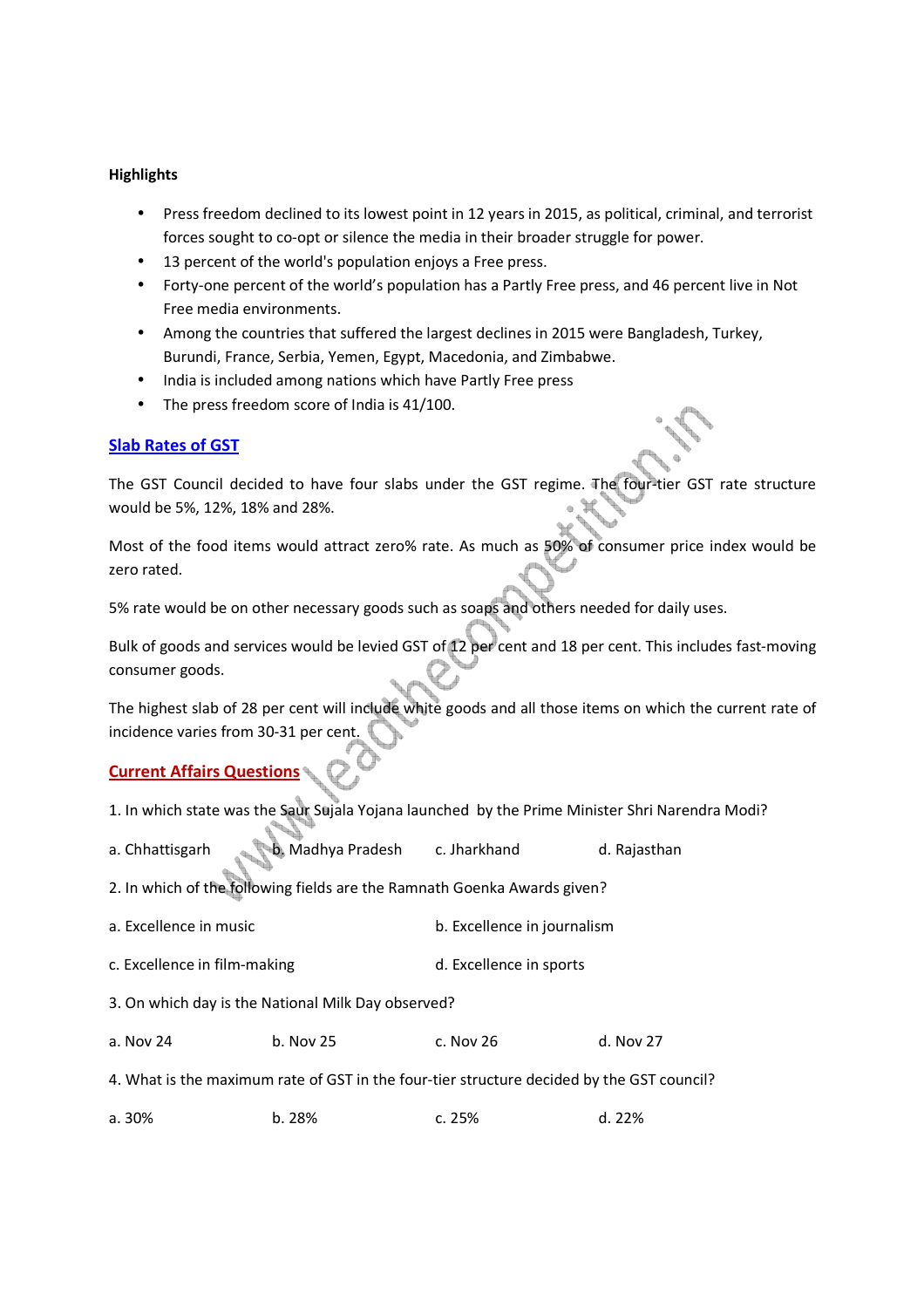#### **Highlights**

- Press freedom declined to its lowest point in 12 years in 2015, as political, criminal, and terrorist forces sought to co-opt or silence the media in their broader struggle for power.
- 13 percent of the world's population enjoys a Free press.
- Forty-one percent of the world's population has a Partly Free press, and 46 percent live in Not Free media environments.
- Among the countries that suffered the largest declines in 2015 were Bangladesh, Turkey, Burundi, France, Serbia, Yemen, Egypt, Macedonia, and Zimbabwe.
- India is included among nations which have Partly Free press
- The press freedom score of India is 41/100.

### **Slab Rates of GST**

The GST Council decided to have four slabs under the GST regime. The four-tier GST rate structure would be 5%, 12%, 18% and 28%.

Most of the food items would attract zero% rate. As much as 50% of consumer price index would be zero rated.

5% rate would be on other necessary goods such as soaps and others needed for daily uses.

Bulk of goods and services would be levied GST of 12 per cent and 18 per cent. This includes fast-moving consumer goods.

The highest slab of 28 per cent will include white goods and all those items on which the current rate of incidence varies from 30-31 per cent.

# **Current Affairs Questions**

- 1. In which state was the Saur Sujala Yojana launched by the Prime Minister Shri Narendra Modi?
- a. Chhattisgarh b. Madhya Pradesh c. Jharkhand d. Rajasthan
- 2. In which of the following fields are the Ramnath Goenka Awards given?
- a. Excellence in music b. Excellence in journalism
- c. Excellence in film-making d. Excellence in sports
- 3. On which day is the National Milk Day observed?
- a. Nov 24 b. Nov 25 c. Nov 26 d. Nov 27
- 4. What is the maximum rate of GST in the four-tier structure decided by the GST council?
- a. 30% b. 28% c. 25% d. 22%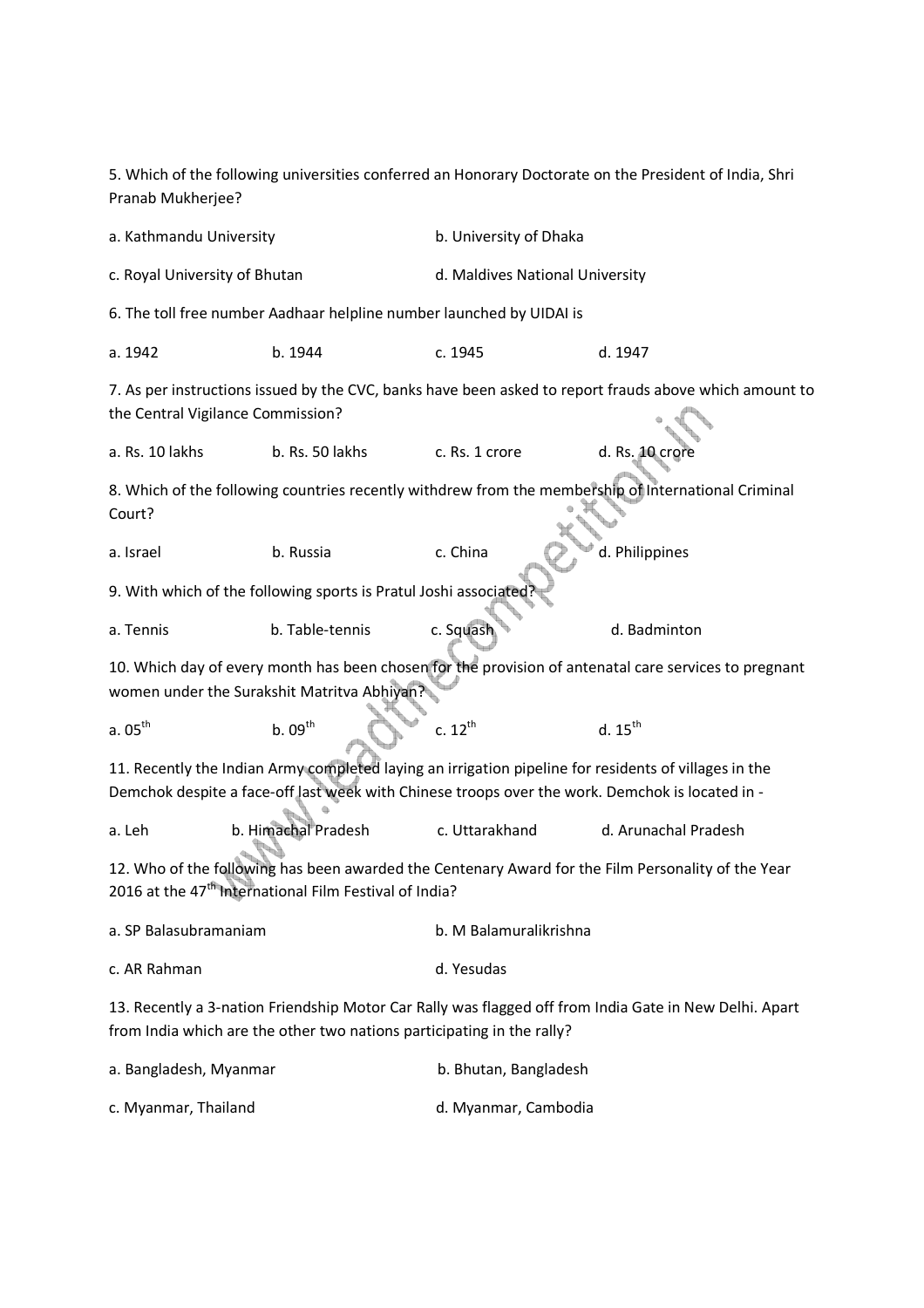5. Which of the following universities conferred an Honorary Doctorate on the President of India, Shri Pranab Mukherjee? a. Kathmandu University **b. University of Dhaka** c. Royal University of Bhutan d. Maldives National University 6. The toll free number Aadhaar helpline number launched by UIDAI is a. 1942 b. 1944 c. 1945 d. 1947 7. As per instructions issued by the CVC, banks have been asked to report frauds above which amount to the Central Vigilance Commission? a. Rs. 10 lakhs b. Rs. 50 lakhs c. Rs. 1 crore d. Rs. 10 crore 8. Which of the following countries recently withdrew from the membership of International Criminal Court? a. Israel b. Russia c. China d. Philippines 9. With which of the following sports is Pratul Joshi associate a. Tennis b. Table-tennis c. Squash d. Badminton 10. Which day of every month has been chosen for the provision of antenatal care services to pregnant women under the Surakshit Matritva Abhiyan? a.  $05^{\text{th}}$  b.  $09^{\text{th}}$  c.  $12^{\text{th}}$  d.  $15^{\text{th}}$  $d.15^{th}$ 11. Recently the Indian Army completed laying an irrigation pipeline for residents of villages in the Demchok despite a face-off last week with Chinese troops over the work. Demchok is located in a. Leh b. Himachal Pradesh c. Uttarakhand d. Arunachal Pradesh 12. Who of the following has been awarded the Centenary Award for the Film Personality of the Year 2016 at the 47<sup>th</sup> International Film Festival of India? a. SP Balasubramaniam b. M Balamuralikrishna c. AR Rahman d. Yesudas 13. Recently a 3-nation Friendship Motor Car Rally was flagged off from India Gate in New Delhi. Apart from India which are the other two nations participating in the rally? a. Bangladesh, Myanmar b. Bhutan, Bangladesh

c. Myanmar, Thailand d. Myanmar, Cambodia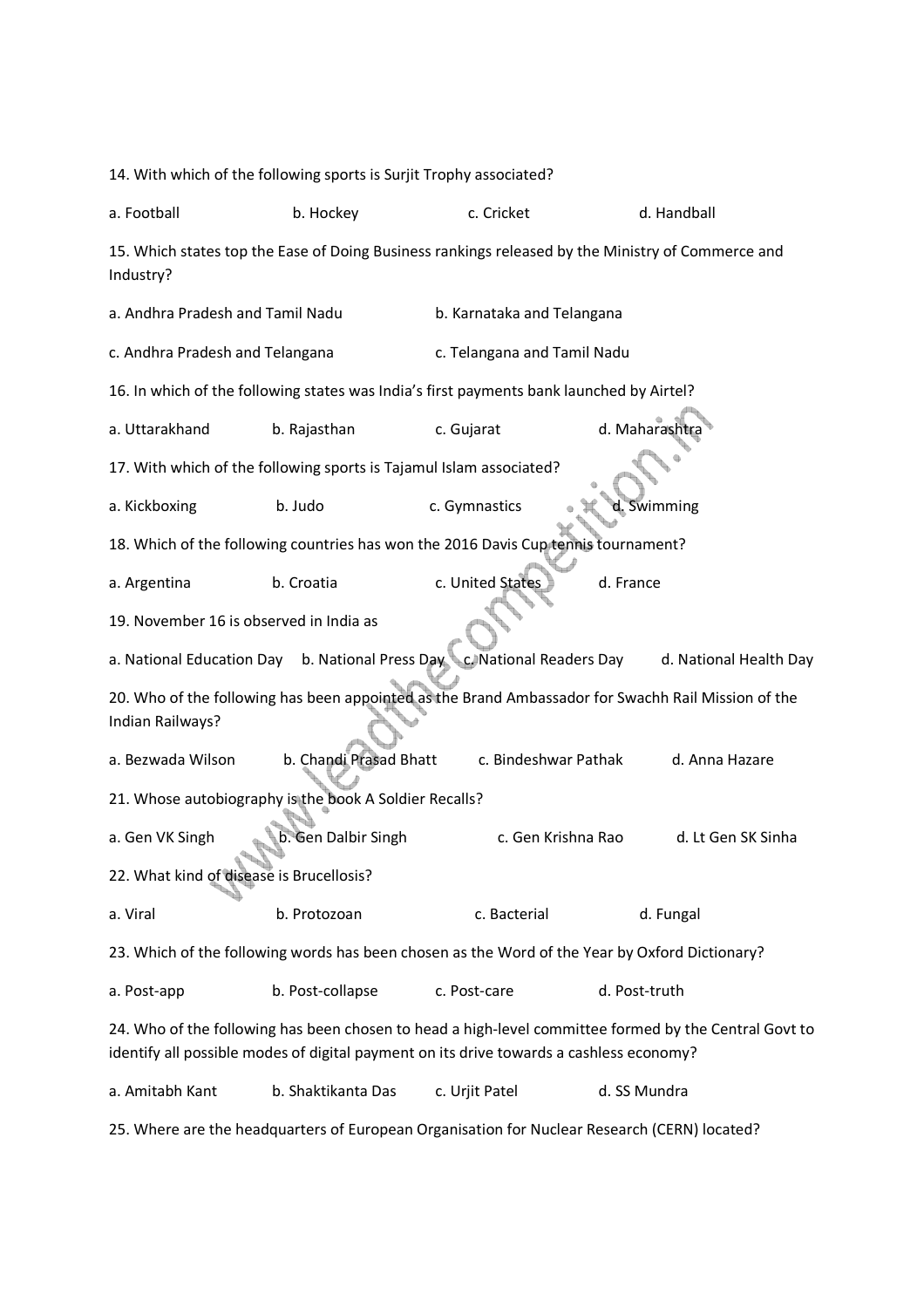14. With which of the following sports is Surjit Trophy associated? a. Football b. Hockey c. Cricket d. Handball 15. Which states top the Ease of Doing Business rankings released by the Ministry of Commerce and Industry? a. Andhra Pradesh and Tamil Nadu b. Karnataka and Telangana c. Andhra Pradesh and Telangana c. Telangana and Tamil Nadu 16. In which of the following states was India's first payments bank launched by Airtel? a. Uttarakhand b. Rajasthan c. Gujarat d. Maharashtra 17. With which of the following sports is Tajamul Islam associated? a. Kickboxing b. Judo c. Gymnastics a detail of the bulk of the bulk of the bulk of the bulk of the distributio 18. Which of the following countries has won the 2016 Davis Cup tennis tournament? a. Argentina b. Croatia c. United States d. France 19. November 16 is observed in India as a. National Education Day b. National Press Day c. National Readers Day d. National Health Day 20. Who of the following has been appointed as the Brand Ambassador for Swachh Rail Mission of the Indian Railways? a. Bezwada Wilson b. Chandi Prasad Bhatt c. Bindeshwar Pathak d. Anna Hazare 21. Whose autobiography is the book A Soldier Recalls? a. Gen VK Singh b. Gen Dalbir Singh c. Gen Krishna Rao d. Lt Gen SK Sinha 22. What kind of disease is Brucellosis? a. Viral b. Protozoan c. Bacterial d. Fungal 23. Which of the following words has been chosen as the Word of the Year by Oxford Dictionary? a. Post-app b. Post-collapse c. Post-care d. Post-truth 24. Who of the following has been chosen to head a high-level committee formed by the Central Govt to identify all possible modes of digital payment on its drive towards a cashless economy? a. Amitabh Kant b. Shaktikanta Das c. Urjit Patel d. SS Mundra

25. Where are the headquarters of European Organisation for Nuclear Research (CERN) located?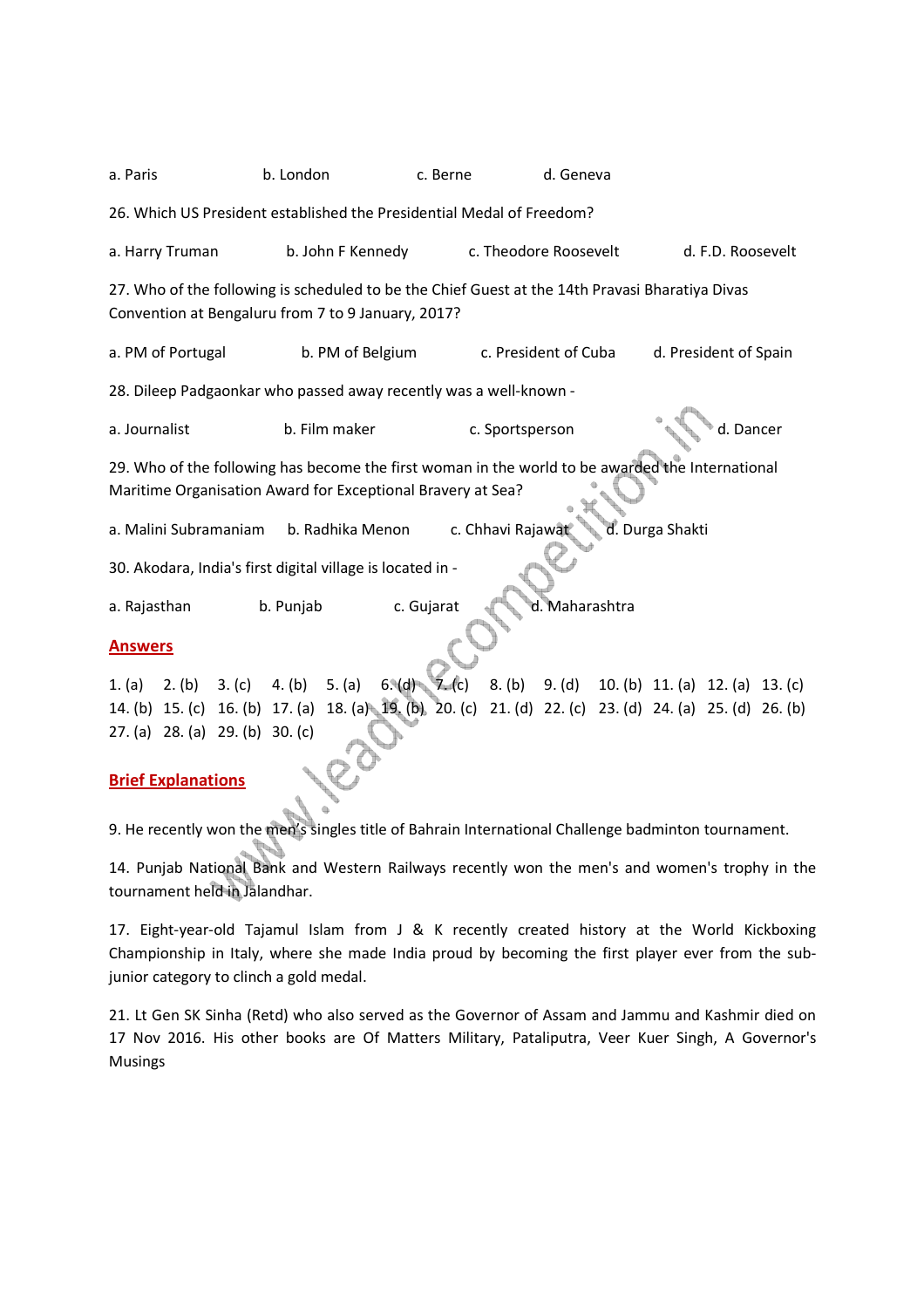a. Paris b. London c. Berne d. Geneva 26. Which US President established the Presidential Medal of Freedom? a. Harry Truman b. John F Kennedy c. Theodore Roosevelt d. F.D. Roosevelt 27. Who of the following is scheduled to be the Chief Guest at the 14th Pravasi Bharatiya Divas Convention at Bengaluru from 7 to 9 January, 2017? a. PM of Portugal b. PM of Belgium c. President of Cuba d. President of Spain 28. Dileep Padgaonkar who passed away recently was a well-known a. Journalist b. Film maker c. Sportsperson and the definition of the definition of the definition of the definition of the definition of the definition of the definition of the definition of the definition of the definiti 29. Who of the following has become the first woman in the world to be awarded the International Maritime Organisation Award for Exceptional Bravery at Sea? a. Malini Subramaniam b. Radhika Menon c. Chhavi Rajawat d. Durga Shakti 30. Akodara, India's first digital village is located in a. Rajasthan b. Punjab c. Gujarat d. Maharashtra **Answers** 1. (a) 2. (b) 3. (c) 4. (b) 5. (a) 6. (d) 7. (c) 8. (b) 9. (d) 10. (b) 11. (a) 12. (a) 13. (c) 14. (b) 15. (c) 16. (b) 17. (a) 18. (a) 19. (b) 20. (c) 21. (d) 22. (c) 23. (d) 24. (a) 25. (d) 26. (b) 27. (a) 28. (a) 29. (b) 30. (c) **Brief Explanations**

9. He recently won the men's singles title of Bahrain International Challenge badminton tournament.

14. Punjab National Bank and Western Railways recently won the men's and women's trophy in the tournament held in Jalandhar.

17. Eight-year-old Tajamul Islam from J & K recently created history at the World Kickboxing Championship in Italy, where she made India proud by becoming the first player ever from the subjunior category to clinch a gold medal.

21. Lt Gen SK Sinha (Retd) who also served as the Governor of Assam and Jammu and Kashmir died on 17 Nov 2016. His other books are Of Matters Military, Pataliputra, Veer Kuer Singh, A Governor's Musings